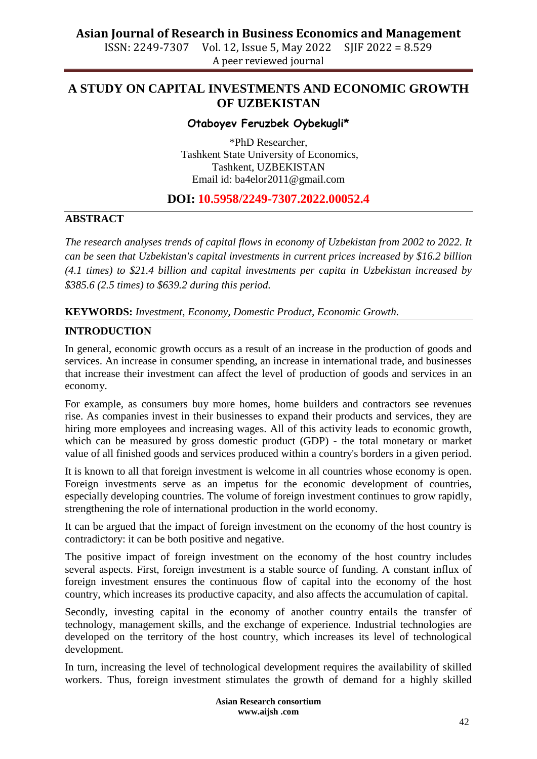# **Asian Journal of Research in Business Economics and Management**<br>ISSN: 2249-7307 Vol. 12, Issue 5, May 2022 SIIF 2022 = 8.529

ISSN: 2249-7307 Vol. 12, Issue 5, May 2022 A peer reviewed journal

# **A STUDY ON CAPITAL INVESTMENTS AND ECONOMIC GROWTH OF UZBEKISTAN**

#### **Otaboyev Feruzbek Oybekugli\***

\*PhD Researcher, Tashkent State University of Economics, Tashkent, UZBEKISTAN Email id: [ba4elor2011@gmail.com](mailto:ba4elor2011@gmail.com)

# **DOI: 10.5958/2249-7307.2022.00052.4**

#### **ABSTRACT**

*The research analyses trends of capital flows in economy of Uzbekistan from 2002 to 2022. It can be seen that Uzbekistan's capital investments in current prices increased by \$16.2 billion (4.1 times) to \$21.4 billion and capital investments per capita in Uzbekistan increased by \$385.6 (2.5 times) to \$639.2 during this period.* 

**KEYWORDS:** *Investment, Economy, Domestic Product, Economic Growth.*

## **INTRODUCTION**

In general, economic growth occurs as a result of an increase in the production of goods and services. An increase in consumer spending, an increase in international trade, and businesses that increase their investment can affect the level of production of goods and services in an economy.

For example, as consumers buy more homes, home builders and contractors see revenues rise. As companies invest in their businesses to expand their products and services, they are hiring more employees and increasing wages. All of this activity leads to economic growth, which can be measured by gross domestic product (GDP) - the total monetary or market value of all finished goods and services produced within a country's borders in a given period.

It is known to all that foreign investment is welcome in all countries whose economy is open. Foreign investments serve as an impetus for the economic development of countries, especially developing countries. The volume of foreign investment continues to grow rapidly, strengthening the role of international production in the world economy.

It can be argued that the impact of foreign investment on the economy of the host country is contradictory: it can be both positive and negative.

The positive impact of foreign investment on the economy of the host country includes several aspects. First, foreign investment is a stable source of funding. A constant influx of foreign investment ensures the continuous flow of capital into the economy of the host country, which increases its productive capacity, and also affects the accumulation of capital.

Secondly, investing capital in the economy of another country entails the transfer of technology, management skills, and the exchange of experience. Industrial technologies are developed on the territory of the host country, which increases its level of technological development.

In turn, increasing the level of technological development requires the availability of skilled workers. Thus, foreign investment stimulates the growth of demand for a highly skilled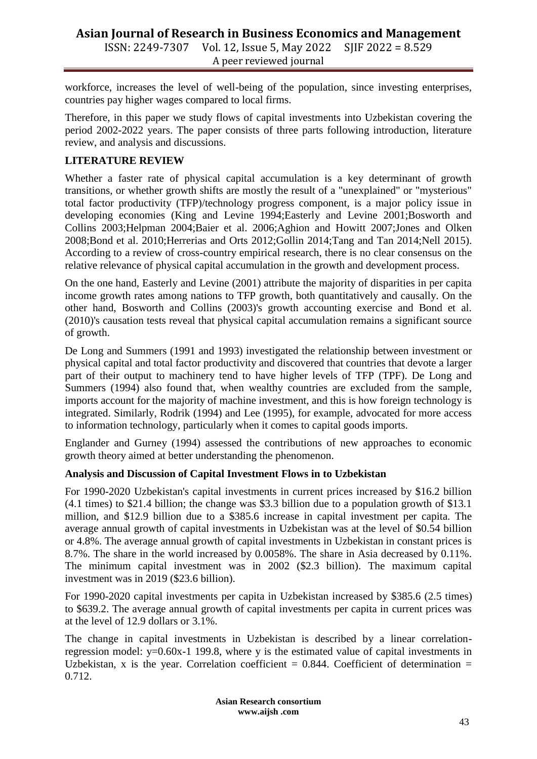# **Asian Journal of Research in Business Economics and Management** ISSN: 2249-7307 Vol. 12, Issue 5, May 2022 SJIF 2022 = 8.529 A peer reviewed journal

workforce, increases the level of well-being of the population, since investing enterprises, countries pay higher wages compared to local firms.

Therefore, in this paper we study flows of capital investments into Uzbekistan covering the period 2002-2022 years. The paper consists of three parts following introduction, literature review, and analysis and discussions.

# **LITERATURE REVIEW**

Whether a faster rate of physical capital accumulation is a key determinant of growth transitions, or whether growth shifts are mostly the result of a "unexplained" or "mysterious" total factor productivity (TFP)/technology progress component, is a major policy issue in developing economies (King and Levine 1994;Easterly and Levine 2001;Bosworth and Collins 2003;Helpman 2004;Baier et al. 2006;Aghion and Howitt 2007;Jones and Olken 2008;Bond et al. 2010;Herrerias and Orts 2012;Gollin 2014;Tang and Tan 2014;Nell 2015). According to a review of cross-country empirical research, there is no clear consensus on the relative relevance of physical capital accumulation in the growth and development process.

On the one hand, Easterly and Levine (2001) attribute the majority of disparities in per capita income growth rates among nations to TFP growth, both quantitatively and causally. On the other hand, Bosworth and Collins (2003)'s growth accounting exercise and Bond et al. (2010)'s causation tests reveal that physical capital accumulation remains a significant source of growth.

De Long and Summers (1991 and 1993) investigated the relationship between investment or physical capital and total factor productivity and discovered that countries that devote a larger part of their output to machinery tend to have higher levels of TFP (TPF). De Long and Summers (1994) also found that, when wealthy countries are excluded from the sample, imports account for the majority of machine investment, and this is how foreign technology is integrated. Similarly, Rodrik (1994) and Lee (1995), for example, advocated for more access to information technology, particularly when it comes to capital goods imports.

Englander and Gurney (1994) assessed the contributions of new approaches to economic growth theory aimed at better understanding the phenomenon.

## **Analysis and Discussion of Capital Investment Flows in to Uzbekistan**

For 1990-2020 Uzbekistan's capital investments in current prices increased by \$16.2 billion (4.1 times) to \$21.4 billion; the change was \$3.3 billion due to a population growth of \$13.1 million, and \$12.9 billion due to a \$385.6 increase in capital investment per capita. The average annual growth of capital investments in Uzbekistan was at the level of \$0.54 billion or 4.8%. The average annual growth of capital investments in Uzbekistan in constant prices is 8.7%. The share in the world increased by 0.0058%. The share in Asia decreased by 0.11%. The minimum capital investment was in 2002 (\$2.3 billion). The maximum capital investment was in 2019 (\$23.6 billion).

For 1990-2020 capital investments per capita in Uzbekistan increased by \$385.6 (2.5 times) to \$639.2. The average annual growth of capital investments per capita in current prices was at the level of 12.9 dollars or 3.1%.

The change in capital investments in Uzbekistan is described by a linear correlationregression model: y=0.60x-1 199.8, where y is the estimated value of capital investments in Uzbekistan, x is the year. Correlation coefficient =  $0.844$ . Coefficient of determination = 0.712.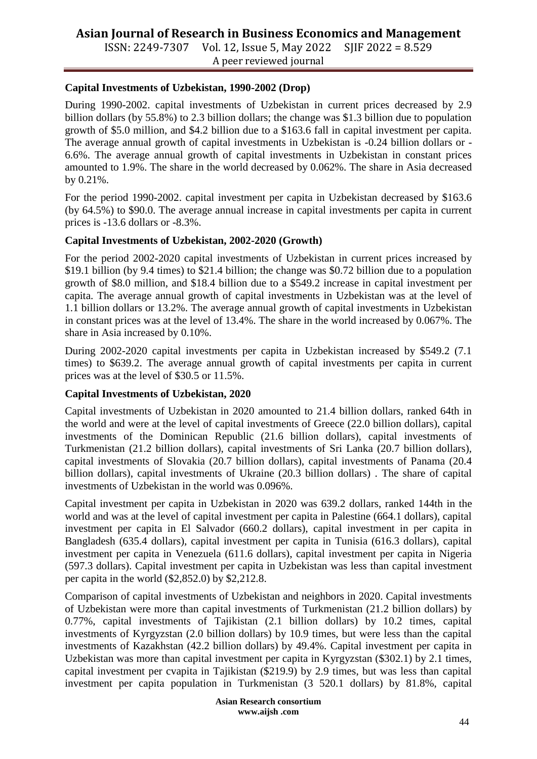# **Asian Journal of Research in Business Economics and Management**

ISSN: 2249-7307 Vol. 12, Issue 5, May 2022 SJIF 2022 = 8.529 A peer reviewed journal

# **Capital Investments of Uzbekistan, 1990-2002 (Drop)**

During 1990-2002. capital investments of Uzbekistan in current prices decreased by 2.9 billion dollars (by 55.8%) to 2.3 billion dollars; the change was \$1.3 billion due to population growth of \$5.0 million, and \$4.2 billion due to a \$163.6 fall in capital investment per capita. The average annual growth of capital investments in Uzbekistan is -0.24 billion dollars or - 6.6%. The average annual growth of capital investments in Uzbekistan in constant prices amounted to 1.9%. The share in the world decreased by 0.062%. The share in Asia decreased by 0.21%.

For the period 1990-2002. capital investment per capita in Uzbekistan decreased by \$163.6 (by 64.5%) to \$90.0. The average annual increase in capital investments per capita in current prices is -13.6 dollars or -8.3%.

#### **Capital Investments of Uzbekistan, 2002-2020 (Growth)**

For the period 2002-2020 capital investments of Uzbekistan in current prices increased by \$19.1 billion (by 9.4 times) to \$21.4 billion; the change was \$0.72 billion due to a population growth of \$8.0 million, and \$18.4 billion due to a \$549.2 increase in capital investment per capita. The average annual growth of capital investments in Uzbekistan was at the level of 1.1 billion dollars or 13.2%. The average annual growth of capital investments in Uzbekistan in constant prices was at the level of 13.4%. The share in the world increased by 0.067%. The share in Asia increased by 0.10%.

During 2002-2020 capital investments per capita in Uzbekistan increased by \$549.2 (7.1 times) to \$639.2. The average annual growth of capital investments per capita in current prices was at the level of \$30.5 or 11.5%.

## **Capital Investments of Uzbekistan, 2020**

Capital investments of Uzbekistan in 2020 amounted to 21.4 billion dollars, ranked 64th in the world and were at the level of capital investments of Greece (22.0 billion dollars), capital investments of the Dominican Republic (21.6 billion dollars), capital investments of Turkmenistan (21.2 billion dollars), capital investments of Sri Lanka (20.7 billion dollars), capital investments of Slovakia (20.7 billion dollars), capital investments of Panama (20.4 billion dollars), capital investments of Ukraine (20.3 billion dollars) . The share of capital investments of Uzbekistan in the world was 0.096%.

Capital investment per capita in Uzbekistan in 2020 was 639.2 dollars, ranked 144th in the world and was at the level of capital investment per capita in Palestine (664.1 dollars), capital investment per capita in El Salvador (660.2 dollars), capital investment in per capita in Bangladesh (635.4 dollars), capital investment per capita in Tunisia (616.3 dollars), capital investment per capita in Venezuela (611.6 dollars), capital investment per capita in Nigeria (597.3 dollars). Capital investment per capita in Uzbekistan was less than capital investment per capita in the world (\$2,852.0) by \$2,212.8.

Comparison of capital investments of Uzbekistan and neighbors in 2020. Capital investments of Uzbekistan were more than capital investments of Turkmenistan (21.2 billion dollars) by 0.77%, capital investments of Tajikistan (2.1 billion dollars) by 10.2 times, capital investments of Kyrgyzstan (2.0 billion dollars) by 10.9 times, but were less than the capital investments of Kazakhstan (42.2 billion dollars) by 49.4%. Capital investment per capita in Uzbekistan was more than capital investment per capita in Kyrgyzstan (\$302.1) by 2.1 times, capital investment per cvapita in Tajikistan (\$219.9) by 2.9 times, but was less than capital investment per capita population in Turkmenistan (3 520.1 dollars) by 81.8%, capital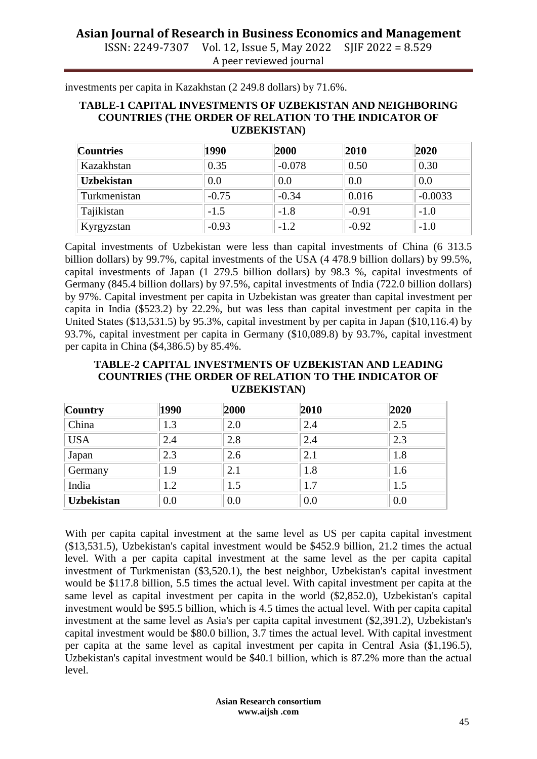# **Asian Journal of Research in Business Economics and Management**

ISSN: 2249-7307 Vol. 12, Issue 5, May 2022 SJIF 2022 = 8.529 A peer reviewed journal

investments per capita in Kazakhstan (2 249.8 dollars) by 71.6%.

#### **TABLE-1 CAPITAL INVESTMENTS OF UZBEKISTAN AND NEIGHBORING COUNTRIES (THE ORDER OF RELATION TO THE INDICATOR OF UZBEKISTAN)**

| <b>Countries</b>  | 1990    | 2000     | 2010    | 2020      |
|-------------------|---------|----------|---------|-----------|
| Kazakhstan        | 0.35    | $-0.078$ | 0.50    | 0.30      |
| <b>Uzbekistan</b> | 0.0     | 0.0      | 0.0     | 0.0       |
| Turkmenistan      | $-0.75$ | $-0.34$  | 0.016   | $-0.0033$ |
| Tajikistan        | $-1.5$  | $-1.8$   | $-0.91$ | $-1.0$    |
| Kyrgyzstan        | $-0.93$ | $-1.2$   | $-0.92$ | $-1.0$    |

Capital investments of Uzbekistan were less than capital investments of China (6 313.5 billion dollars) by 99.7%, capital investments of the USA (4 478.9 billion dollars) by 99.5%, capital investments of Japan (1 279.5 billion dollars) by 98.3 %, capital investments of Germany (845.4 billion dollars) by 97.5%, capital investments of India (722.0 billion dollars) by 97%. Capital investment per capita in Uzbekistan was greater than capital investment per capita in India (\$523.2) by 22.2%, but was less than capital investment per capita in the United States (\$13,531.5) by 95.3%, capital investment by per capita in Japan (\$10,116.4) by 93.7%, capital investment per capita in Germany (\$10,089.8) by 93.7%, capital investment per capita in China (\$4,386.5) by 85.4%.

#### **TABLE-2 CAPITAL INVESTMENTS OF UZBEKISTAN AND LEADING COUNTRIES (THE ORDER OF RELATION TO THE INDICATOR OF UZBEKISTAN)**

| <b>Country</b>    | 1990 | 2000 | 2010 | 2020 |
|-------------------|------|------|------|------|
| China             | 1.3  | 2.0  | 2.4  | 2.5  |
| <b>USA</b>        | 2.4  | 2.8  | 2.4  | 2.3  |
| Japan             | 2.3  | 2.6  | 2.1  | 1.8  |
| Germany           | 1.9  | 2.1  | 1.8  | 1.6  |
| India             | 1.2  | 1.5  | 1.7  | 1.5  |
| <b>Uzbekistan</b> | 0.0  | 0.0  | 0.0  | 0.0  |

With per capita capital investment at the same level as US per capita capital investment (\$13,531.5), Uzbekistan's capital investment would be \$452.9 billion, 21.2 times the actual level. With a per capita capital investment at the same level as the per capita capital investment of Turkmenistan (\$3,520.1), the best neighbor, Uzbekistan's capital investment would be \$117.8 billion, 5.5 times the actual level. With capital investment per capita at the same level as capital investment per capita in the world (\$2,852.0), Uzbekistan's capital investment would be \$95.5 billion, which is 4.5 times the actual level. With per capita capital investment at the same level as Asia's per capita capital investment (\$2,391.2), Uzbekistan's capital investment would be \$80.0 billion, 3.7 times the actual level. With capital investment per capita at the same level as capital investment per capita in Central Asia (\$1,196.5), Uzbekistan's capital investment would be \$40.1 billion, which is 87.2% more than the actual level.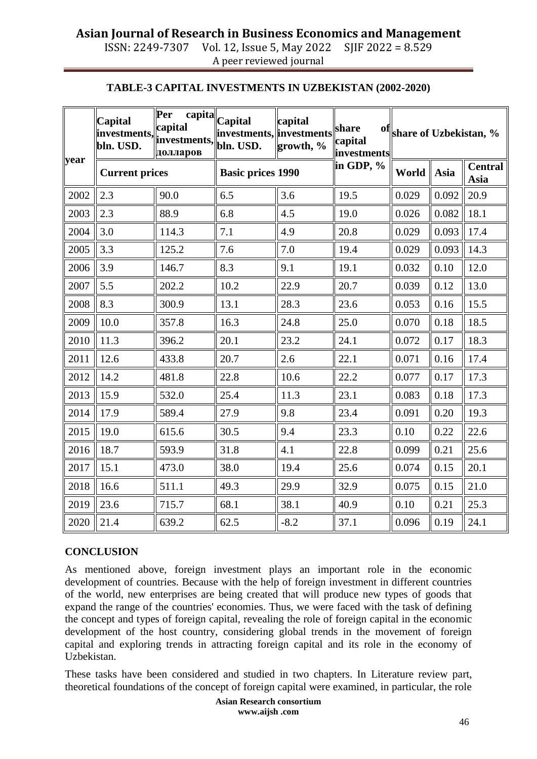## **Asian Journal of Research in Business Economics and Management** ISSN: 2249-7307 Vol. 12, Issue 5, May 2022 SJIF 2022 = 8.529

A peer reviewed journal

**TABLE-3 CAPITAL INVESTMENTS IN UZBEKISTAN (2002-2020)**

|      | Capital               | <b>Per</b><br>capital<br>$\sum_{\text{investments}, \text{investments}, \text{investments}}$<br>долларов | capita Capital<br>investments, investments<br>bln. USD. | capital<br>growth, % | share<br>capital<br><b>linvestments</b> | of share of Uzbekistan, % |       |                        |
|------|-----------------------|----------------------------------------------------------------------------------------------------------|---------------------------------------------------------|----------------------|-----------------------------------------|---------------------------|-------|------------------------|
| year | <b>Current prices</b> |                                                                                                          | <b>Basic prices 1990</b>                                |                      | in GDP, %                               | World                     | Asia  | <b>Central</b><br>Asia |
| 2002 | 2.3                   | 90.0                                                                                                     | 6.5                                                     | 3.6                  | 19.5                                    | 0.029                     | 0.092 | 20.9                   |
| 2003 | 2.3                   | 88.9                                                                                                     | 6.8                                                     | 4.5                  | 19.0                                    | 0.026                     | 0.082 | 18.1                   |
| 2004 | 3.0                   | 114.3                                                                                                    | 7.1                                                     | 4.9                  | 20.8                                    | 0.029                     | 0.093 | 17.4                   |
| 2005 | 3.3                   | 125.2                                                                                                    | 7.6                                                     | 7.0                  | 19.4                                    | 0.029                     | 0.093 | 14.3                   |
| 2006 | 3.9                   | 146.7                                                                                                    | 8.3                                                     | 9.1                  | 19.1                                    | 0.032                     | 0.10  | 12.0                   |
| 2007 | 5.5                   | 202.2                                                                                                    | 10.2                                                    | 22.9                 | 20.7                                    | 0.039                     | 0.12  | 13.0                   |
| 2008 | 8.3                   | 300.9                                                                                                    | 13.1                                                    | 28.3                 | 23.6                                    | 0.053                     | 0.16  | 15.5                   |
| 2009 | 10.0                  | 357.8                                                                                                    | 16.3                                                    | 24.8                 | 25.0                                    | 0.070                     | 0.18  | 18.5                   |
| 2010 | 11.3                  | 396.2                                                                                                    | 20.1                                                    | 23.2                 | 24.1                                    | 0.072                     | 0.17  | 18.3                   |
| 2011 | 12.6                  | 433.8                                                                                                    | 20.7                                                    | 2.6                  | 22.1                                    | 0.071                     | 0.16  | 17.4                   |
| 2012 | 14.2                  | 481.8                                                                                                    | 22.8                                                    | 10.6                 | 22.2                                    | 0.077                     | 0.17  | 17.3                   |
| 2013 | 15.9                  | 532.0                                                                                                    | 25.4                                                    | 11.3                 | 23.1                                    | 0.083                     | 0.18  | 17.3                   |
| 2014 | 17.9                  | 589.4                                                                                                    | 27.9                                                    | 9.8                  | 23.4                                    | 0.091                     | 0.20  | 19.3                   |
| 2015 | 19.0                  | 615.6                                                                                                    | 30.5                                                    | 9.4                  | 23.3                                    | 0.10                      | 0.22  | 22.6                   |
| 2016 | 18.7                  | 593.9                                                                                                    | 31.8                                                    | 4.1                  | 22.8                                    | 0.099                     | 0.21  | 25.6                   |
| 2017 | 15.1                  | 473.0                                                                                                    | 38.0                                                    | 19.4                 | 25.6                                    | 0.074                     | 0.15  | 20.1                   |
| 2018 | 16.6                  | 511.1                                                                                                    | 49.3                                                    | 29.9                 | 32.9                                    | 0.075                     | 0.15  | 21.0                   |
| 2019 | 23.6                  | 715.7                                                                                                    | 68.1                                                    | 38.1                 | 40.9                                    | 0.10                      | 0.21  | 25.3                   |
| 2020 | 21.4                  | 639.2                                                                                                    | 62.5                                                    | $-8.2$               | 37.1                                    | 0.096                     | 0.19  | 24.1                   |

# **CONCLUSION**

As mentioned above, foreign investment plays an important role in the economic development of countries. Because with the help of foreign investment in different countries of the world, new enterprises are being created that will produce new types of goods that expand the range of the countries' economies. Thus, we were faced with the task of defining the concept and types of foreign capital, revealing the role of foreign capital in the economic development of the host country, considering global trends in the movement of foreign capital and exploring trends in attracting foreign capital and its role in the economy of Uzbekistan.

These tasks have been considered and studied in two chapters. In Literature review part, theoretical foundations of the concept of foreign capital were examined, in particular, the role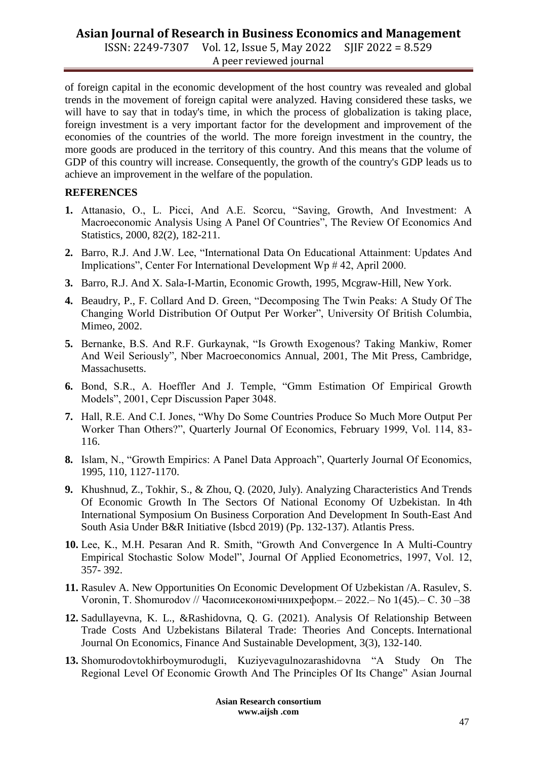# **Asian Journal of Research in Business Economics and Management**

ISSN: 2249-7307 Vol. 12, Issue 5, May 2022 SJIF 2022 = 8.529 A peer reviewed journal

of foreign capital in the economic development of the host country was revealed and global trends in the movement of foreign capital were analyzed. Having considered these tasks, we will have to say that in today's time, in which the process of globalization is taking place, foreign investment is a very important factor for the development and improvement of the economies of the countries of the world. The more foreign investment in the country, the more goods are produced in the territory of this country. And this means that the volume of GDP of this country will increase. Consequently, the growth of the country's GDP leads us to achieve an improvement in the welfare of the population.

#### **REFERENCES**

- **1.** Attanasio, O., L. Picci, And A.E. Scorcu, "Saving, Growth, And Investment: A Macroeconomic Analysis Using A Panel Of Countries", The Review Of Economics And Statistics, 2000, 82(2), 182-211.
- **2.** Barro, R.J. And J.W. Lee, "International Data On Educational Attainment: Updates And Implications", Center For International Development Wp # 42, April 2000.
- **3.** Barro, R.J. And X. Sala-I-Martin, Economic Growth, 1995, Mcgraw-Hill, New York.
- **4.** Beaudry, P., F. Collard And D. Green, "Decomposing The Twin Peaks: A Study Of The Changing World Distribution Of Output Per Worker", University Of British Columbia, Mimeo, 2002.
- **5.** Bernanke, B.S. And R.F. Gurkaynak, "Is Growth Exogenous? Taking Mankiw, Romer And Weil Seriously", Nber Macroeconomics Annual, 2001, The Mit Press, Cambridge, Massachusetts.
- **6.** Bond, S.R., A. Hoeffler And J. Temple, "Gmm Estimation Of Empirical Growth Models", 2001, Cepr Discussion Paper 3048.
- **7.** Hall, R.E. And C.I. Jones, "Why Do Some Countries Produce So Much More Output Per Worker Than Others?", Quarterly Journal Of Economics, February 1999, Vol. 114, 83- 116.
- **8.** Islam, N., "Growth Empirics: A Panel Data Approach", Quarterly Journal Of Economics, 1995, 110, 1127-1170.
- **9.** Khushnud, Z., Tokhir, S., & Zhou, Q. (2020, July). Analyzing Characteristics And Trends Of Economic Growth In The Sectors Of National Economy Of Uzbekistan. In 4th International Symposium On Business Corporation And Development In South-East And South Asia Under B&R Initiative (Isbcd 2019) (Pp. 132-137). Atlantis Press.
- **10.** Lee, K., M.H. Pesaran And R. Smith, "Growth And Convergence In A Multi-Country Empirical Stochastic Solow Model", Journal Of Applied Econometrics, 1997, Vol. 12, 357- 392.
- **11.** Rasulev A. New Opportunities On Economic Development Of Uzbekistan /A. Rasulev, S. Voronin, T. Shomurodov // Часописекономічнихреформ.– 2022.– No 1(45).– С. 30 –38
- **12.** Sadullayevna, K. L., &Rashidovna, Q. G. (2021). Analysis Of Relationship Between Trade Costs And Uzbekistans Bilateral Trade: Theories And Concepts. International Journal On Economics, Finance And Sustainable Development, 3(3), 132-140.
- **13.** Shomurodovtokhirboymurodugli, Kuziyevagulnozarashidovna "A Study On The Regional Level Of Economic Growth And The Principles Of Its Change" Asian Journal